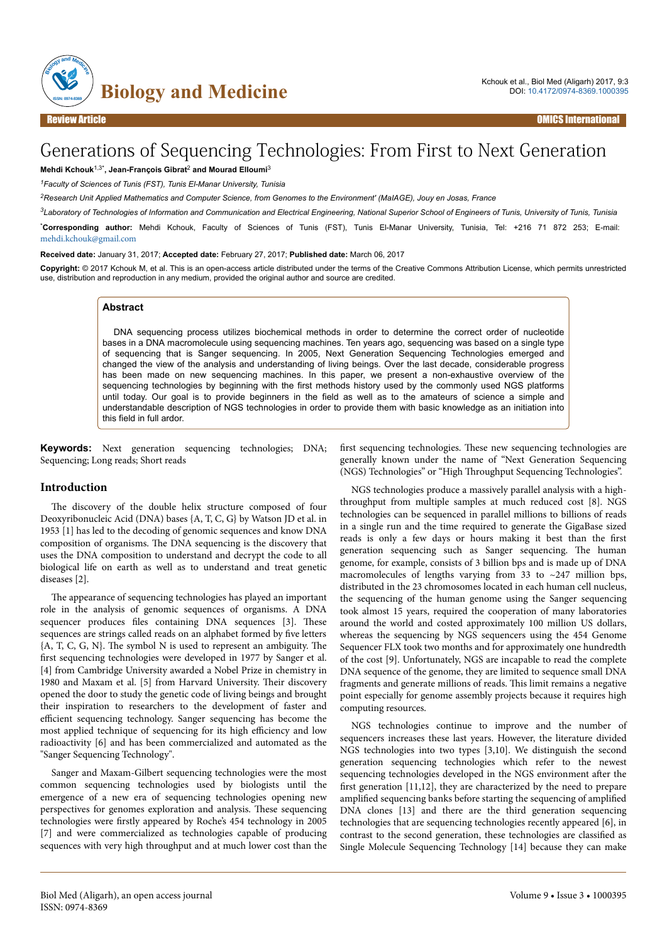

# Generations of Sequencing Technologies: From First to Next Generation

**Mehdi Kchouk**1,3\***, Jean-François Gibrat**<sup>2</sup>  **and Mourad Elloumi**<sup>3</sup>

*<sup>1</sup>Faculty of Sciences of Tunis (FST), Tunis El-Manar University, Tunisia*

*<sup>2</sup>Research Unit Applied Mathematics and Computer Science, from Genomes to the Environment' (MaIAGE), Jouy en Josas, France*

*<sup>3</sup>Laboratory of Technologies of Information and Communication and Electrical Engineering, National Superior School of Engineers of Tunis, University of Tunis, Tunisia* \***Corresponding author:** Mehdi Kchouk, Faculty of Sciences of Tunis (FST), Tunis El-Manar University, Tunisia, Tel: +216 71 872 253; E-mail: [mehdi.kchouk@gmail.com](mailto:mehdi.kchouk@gmail.com)

**Received date:** January 31, 2017; **Accepted date:** February 27, 2017; **Published date:** March 06, 2017

**Copyright:** © 2017 Kchouk M, et al. This is an open-access article distributed under the terms of the Creative Commons Attribution License, which permits unrestricted use, distribution and reproduction in any medium, provided the original author and source are credited.

## **Abstract**

DNA sequencing process utilizes biochemical methods in order to determine the correct order of nucleotide bases in a DNA macromolecule using sequencing machines. Ten years ago, sequencing was based on a single type of sequencing that is Sanger sequencing. In 2005, Next Generation Sequencing Technologies emerged and changed the view of the analysis and understanding of living beings. Over the last decade, considerable progress has been made on new sequencing machines. In this paper, we present a non-exhaustive overview of the sequencing technologies by beginning with the first methods history used by the commonly used NGS platforms until today. Our goal is to provide beginners in the field as well as to the amateurs of science a simple and understandable description of NGS technologies in order to provide them with basic knowledge as an initiation into this field in full ardor.

**Keywords:** Next generation sequencing technologies; DNA; Sequencing; Long reads; Short reads

## **Introduction**

The discovery of the double helix structure composed of four Deoxyribonucleic Acid (DNA) bases {A, T, C, G} by Watson JD et al. in 1953 [1] has led to the decoding of genomic sequences and know DNA composition of organisms. Нe DNA sequencing is the discovery that uses the DNA composition to understand and decrypt the code to all biological life on earth as well as to understand and treat genetic diseases [2].

The appearance of sequencing technologies has played an important role in the analysis of genomic sequences of organisms. A DNA sequencer produces files containing DNA sequences [3]. These sequences are strings called reads on an alphabet formed by five letters {A, T, C, G, N}. Нe symbol N is used to represent an ambiguity. Нe first sequencing technologies were developed in 1977 by Sanger et al. [4] from Cambridge University awarded a Nobel Prize in chemistry in 1980 and Maxam et al. [5] from Harvard University. Нeir discovery opened the door to study the genetic code of living beings and brought their inspiration to researchers to the development of faster and efficient sequencing technology. Sanger sequencing has become the most applied technique of sequencing for its high efficiency and low radioactivity [6] and has been commercialized and automated as the "Sanger Sequencing Technology".

Sanger and Maxam-Gilbert sequencing technologies were the most common sequencing technologies used by biologists until the emergence of a new era of sequencing technologies opening new perspectives for genomes exploration and analysis. Нese sequencing technologies were firstly appeared by Roche's 454 technology in 2005 [7] and were commercialized as technologies capable of producing sequences with very high throughput and at much lower cost than the

first sequencing technologies. Нese new sequencing technologies are generally known under the name of "Next Generation Sequencing (NGS) Technologies" or "High Нroughput Sequencing Technologies".

NGS technologies produce a massively parallel analysis with a highthroughput from multiple samples at much reduced cost [8]. NGS technologies can be sequenced in parallel millions to billions of reads in a single run and the time required to generate the GigaBase sized reads is only a few days or hours making it best than the first generation sequencing such as Sanger sequencing. Нe human genome, for example, consists of 3 billion bps and is made up of DNA macromolecules of lengths varying from 33 to  $\sim$ 247 million bps, distributed in the 23 chromosomes located in each human cell nucleus, the sequencing of the human genome using the Sanger sequencing took almost 15 years, required the cooperation of many laboratories around the world and costed approximately 100 million US dollars, whereas the sequencing by NGS sequencers using the 454 Genome Sequencer FLX took two months and for approximately one hundredth of the cost [9]. Unfortunately, NGS are incapable to read the complete DNA sequence of the genome, they are limited to sequence small DNA fragments and generate millions of reads. Нis limit remains a negative point especially for genome assembly projects because it requires high computing resources.

NGS technologies continue to improve and the number of sequencers increases these last years. However, the literature divided NGS technologies into two types [3,10]. We distinguish the second generation sequencing technologies which refer to the newest sequencing technologies developed in the NGS environment after the first generation [11,12], they are characterized by the need to prepare amplified sequencing banks before starting the sequencing of amplified DNA clones [13] and there are the third generation sequencing technologies that are sequencing technologies recently appeared [6], in contrast to the second generation, these technologies are classified as Single Molecule Sequencing Technology [14] because they can make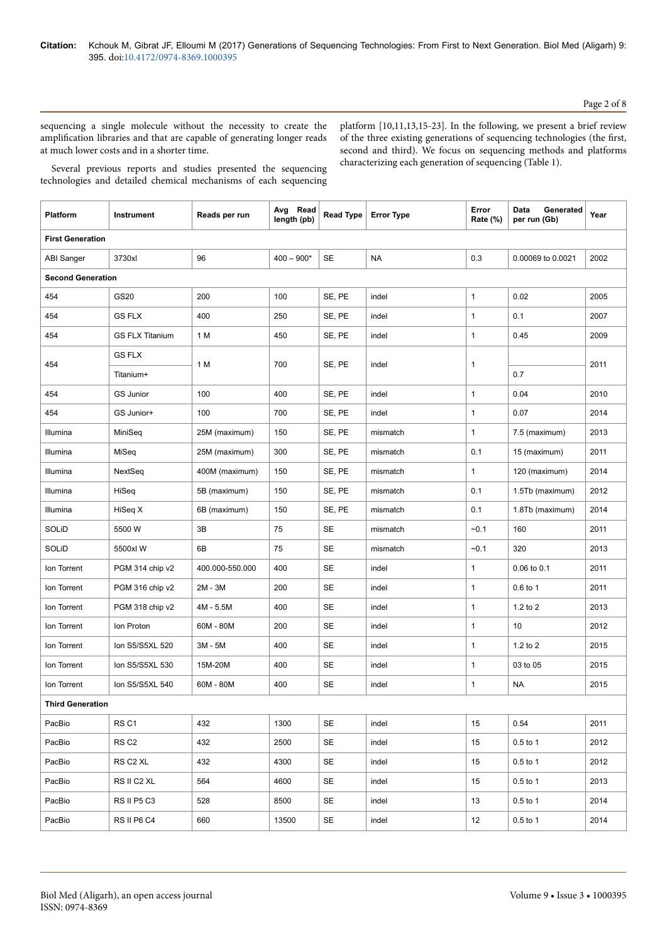# Page 2 of 8

sequencing a single molecule without the necessity to create the amplification libraries and that are capable of generating longer reads at much lower costs and in a shorter time.

platform [10,11,13,15-23]. In the following, we present a brief review of the three existing generations of sequencing technologies (the first, second and third). We focus on sequencing methods and platforms characterizing each generation of sequencing (Table 1).

Several previous reports and studies presented the sequencing technologies and detailed chemical mechanisms of each sequencing

| <b>Platform</b>          | Instrument             | Reads per run   | Avg Read<br>length (pb) | <b>Read Type</b> | <b>Error Type</b> | Error<br>Rate (%) | Data<br>Generated<br>per run (Gb) | Year |
|--------------------------|------------------------|-----------------|-------------------------|------------------|-------------------|-------------------|-----------------------------------|------|
| <b>First Generation</b>  |                        |                 |                         |                  |                   |                   |                                   |      |
| <b>ABI Sanger</b>        | 3730xl                 | 96              | $400 - 900*$            | <b>SE</b>        | <b>NA</b>         | 0.3               | 0.00069 to 0.0021                 | 2002 |
| <b>Second Generation</b> |                        |                 |                         |                  |                   |                   |                                   |      |
| 454                      | GS20                   | 200             | 100                     | SE, PE           | indel             | $\mathbf{1}$      | 0.02                              | 2005 |
| 454                      | <b>GS FLX</b>          | 400             | 250                     | SE, PE           | indel             | $\mathbf{1}$      | 0.1                               | 2007 |
| 454                      | <b>GS FLX Titanium</b> | 1 M             | 450                     | SE, PE           | indel             | $\mathbf{1}$      | 0.45                              | 2009 |
| 454                      | <b>GS FLX</b>          | 1 M             | 700                     | SE, PE           | indel             | $\mathbf{1}$      |                                   | 2011 |
|                          | Titanium+              |                 |                         |                  |                   |                   | 0.7                               |      |
| 454                      | <b>GS Junior</b>       | 100             | 400                     | SE, PE           | indel             | $\mathbf{1}$      | 0.04                              | 2010 |
| 454                      | GS Junior+             | 100             | 700                     | SE, PE           | indel             | $\mathbf{1}$      | 0.07                              | 2014 |
| Illumina                 | MiniSeq                | 25M (maximum)   | 150                     | SE, PE           | mismatch          | $\mathbf{1}$      | 7.5 (maximum)                     | 2013 |
| Illumina                 | MiSeq                  | 25M (maximum)   | 300                     | SE, PE           | mismatch          | 0.1               | 15 (maximum)                      | 2011 |
| Illumina                 | NextSeq                | 400M (maximum)  | 150                     | SE, PE           | mismatch          | $\mathbf{1}$      | 120 (maximum)                     | 2014 |
| Illumina                 | HiSeq                  | 5B (maximum)    | 150                     | SE, PE           | mismatch          | 0.1               | 1.5Tb (maximum)                   | 2012 |
| Illumina                 | HiSeq X                | 6B (maximum)    | 150                     | SE, PE           | mismatch          | 0.1               | 1.8Tb (maximum)                   | 2014 |
| SOLID                    | 5500 W                 | 3B              | 75                      | <b>SE</b>        | mismatch          | $-0.1$            | 160                               | 2011 |
| SOLiD                    | 5500xl W               | 6B              | 75                      | <b>SE</b>        | mismatch          | $-0.1$            | 320                               | 2013 |
| Ion Torrent              | PGM 314 chip v2        | 400.000-550.000 | 400                     | <b>SE</b>        | indel             | $\mathbf{1}$      | $0.06$ to 0.1                     | 2011 |
| Ion Torrent              | PGM 316 chip v2        | 2M - 3M         | 200                     | <b>SE</b>        | indel             | $\mathbf{1}$      | 0.6 to 1                          | 2011 |
| Ion Torrent              | PGM 318 chip v2        | 4M - 5.5M       | 400                     | <b>SE</b>        | indel             | $\mathbf{1}$      | $1.2$ to $2$                      | 2013 |
| Ion Torrent              | Ion Proton             | 60M - 80M       | 200                     | SE               | indel             | $\mathbf{1}$      | 10                                | 2012 |
| Ion Torrent              | Ion S5/S5XL 520        | 3M - 5M         | 400                     | <b>SE</b>        | indel             | $\mathbf{1}$      | $1.2$ to $2$                      | 2015 |
| Ion Torrent              | Ion S5/S5XL 530        | 15M-20M         | 400                     | <b>SE</b>        | indel             | $\mathbf{1}$      | 03 to 05                          | 2015 |
| Ion Torrent              | Ion S5/S5XL 540        | 60M - 80M       | 400                     | <b>SE</b>        | indel             | $\mathbf{1}$      | <b>NA</b>                         | 2015 |
| Third Generation         |                        |                 |                         |                  |                   |                   |                                   |      |
| PacBio                   | RS <sub>C1</sub>       | 432             | 1300                    | SE               | indel             | 15                | 0.54                              | 2011 |
| PacBio                   | RS C <sub>2</sub>      | 432             | 2500                    | SE               | indel             | 15                | $0.5$ to 1                        | 2012 |
| PacBio                   | RS C2 XL               | 432             | 4300                    | SE               | indel             | 15                | $0.5$ to 1                        | 2012 |
| PacBio                   | RS II C2 XL            | 564             | 4600                    | SE               | indel             | 15                | $0.5$ to 1                        | 2013 |
| PacBio                   | RS II P5 C3            | 528             | 8500                    | SE               | indel             | 13                | $0.5$ to 1                        | 2014 |
| PacBio                   | <b>RS II P6 C4</b>     | 660             | 13500                   | SE               | indel             | 12                | $0.5$ to 1                        | 2014 |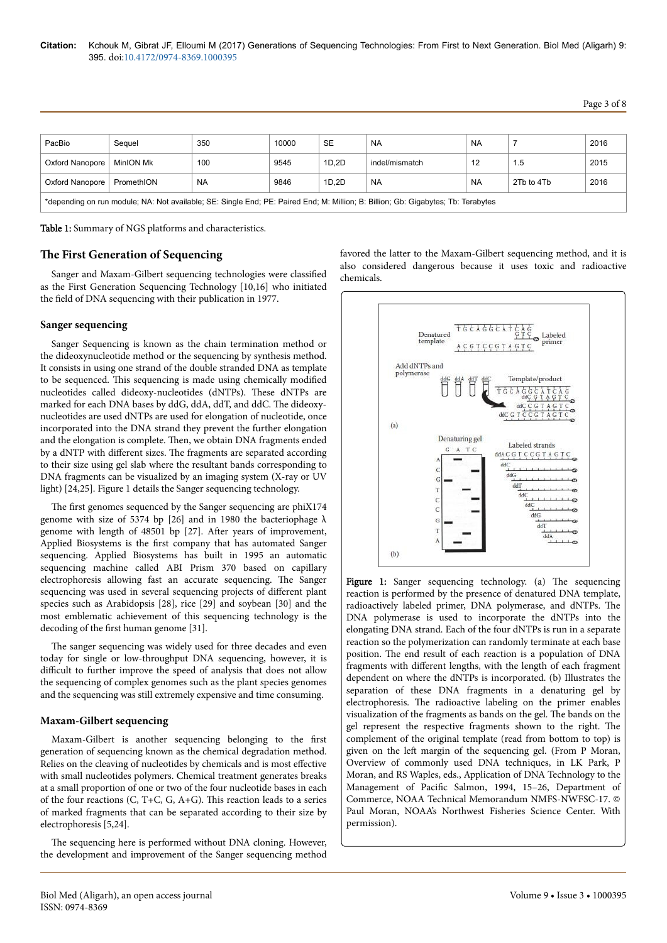| Page 3 of 8 |  |  |  |
|-------------|--|--|--|
|-------------|--|--|--|

| PacBio                                                                                                                            | Sequel     | 350       | 10000 | <b>SE</b> | <b>NA</b>      | <b>NA</b> |            | 2016 |
|-----------------------------------------------------------------------------------------------------------------------------------|------------|-----------|-------|-----------|----------------|-----------|------------|------|
| Oxford Nanopore                                                                                                                   | MinION Mk  | 100       | 9545  | 1D.2D     | indel/mismatch | 12        | 1.5        | 2015 |
| Oxford Nanopore                                                                                                                   | PromethION | <b>NA</b> | 9846  | 1D.2D     | <b>NA</b>      | <b>NA</b> | 2Th to 4Th | 2016 |
| *depending on run module; NA: Not available; SE: Single End; PE: Paired End; M: Million; B: Billion; Gb: Gigabytes; Tb: Terabytes |            |           |       |           |                |           |            |      |

Table 1: Summary of NGS platforms and characteristics.

# **Нe First Generation of Sequencing**

Sanger and Maxam-Gilbert sequencing technologies were classified as the First Generation Sequencing Technology [10,16] who initiated the field of DNA sequencing with their publication in 1977.

# **Sanger sequencing**

Sanger Sequencing is known as the chain termination method or the dideoxynucleotide method or the sequencing by synthesis method. It consists in using one strand of the double stranded DNA as template to be sequenced. Нis sequencing is made using chemically modified nucleotides called dideoxy-nucleotides (dNTPs). Нese dNTPs are marked for each DNA bases by ddG, ddA, ddT, and ddC. Нe dideoxynucleotides are used dNTPs are used for elongation of nucleotide, once incorporated into the DNA strand they prevent the further elongation and the elongation is complete. Нen, we obtain DNA fragments ended by a dNTP with different sizes. The fragments are separated according to their size using gel slab where the resultant bands corresponding to DNA fragments can be visualized by an imaging system (X-ray or UV light) [24,25]. Figure 1 details the Sanger sequencing technology.

The first genomes sequenced by the Sanger sequencing are phiX174 genome with size of 5374 bp [26] and in 1980 the bacteriophage λ genome with length of 48501 bp [27]. After years of improvement, Applied Biosystems is the first company that has automated Sanger sequencing. Applied Biosystems has built in 1995 an automatic sequencing machine called ABI Prism 370 based on capillary electrophoresis allowing fast an accurate sequencing. Нe Sanger sequencing was used in several sequencing projects of different plant species such as Arabidopsis [28], rice [29] and soybean [30] and the most emblematic achievement of this sequencing technology is the decoding of the first human genome [31].

The sanger sequencing was widely used for three decades and even today for single or low-throughput DNA sequencing, however, it is difficult to further improve the speed of analysis that does not allow the sequencing of complex genomes such as the plant species genomes and the sequencing was still extremely expensive and time consuming.

# **Maxam-Gilbert sequencing**

Maxam-Gilbert is another sequencing belonging to the first generation of sequencing known as the chemical degradation method. Relies on the cleaving of nucleotides by chemicals and is most effective with small nucleotides polymers. Chemical treatment generates breaks at a small proportion of one or two of the four nucleotide bases in each of the four reactions (C, T+C, G, A+G). Нis reaction leads to a series of marked fragments that can be separated according to their size by electrophoresis [5,24].

The sequencing here is performed without DNA cloning. However, the development and improvement of the Sanger sequencing method favored the latter to the Maxam-Gilbert sequencing method, and it is also considered dangerous because it uses toxic and radioactive chemicals.



Figure 1: Sanger sequencing technology. (a) Нe sequencing reaction is performed by the presence of denatured DNA template, radioactively labeled primer, DNA polymerase, and dNTPs. Нe DNA polymerase is used to incorporate the dNTPs into the elongating DNA strand. Each of the four dNTPs is run in a separate reaction so the polymerization can randomly terminate at each base position. Нe end result of each reaction is a population of DNA fragments with different lengths, with the length of each fragment dependent on where the dNTPs is incorporated. (b) Illustrates the separation of these DNA fragments in a denaturing gel by electrophoresis. Нe radioactive labeling on the primer enables visualization of the fragments as bands on the gel. Нe bands on the gel represent the respective fragments shown to the right. Нe complement of the original template (read from bottom to top) is given on the left margin of the sequencing gel. (From P Moran, Overview of commonly used DNA techniques, in LK Park, P Moran, and RS Waples, eds., Application of DNA Technology to the Management of Pacific Salmon, 1994, 15–26, Department of Commerce, NOAA Technical Memorandum NMFS-NWFSC-17. © Paul Moran, NOAA's Northwest Fisheries Science Center. With permission).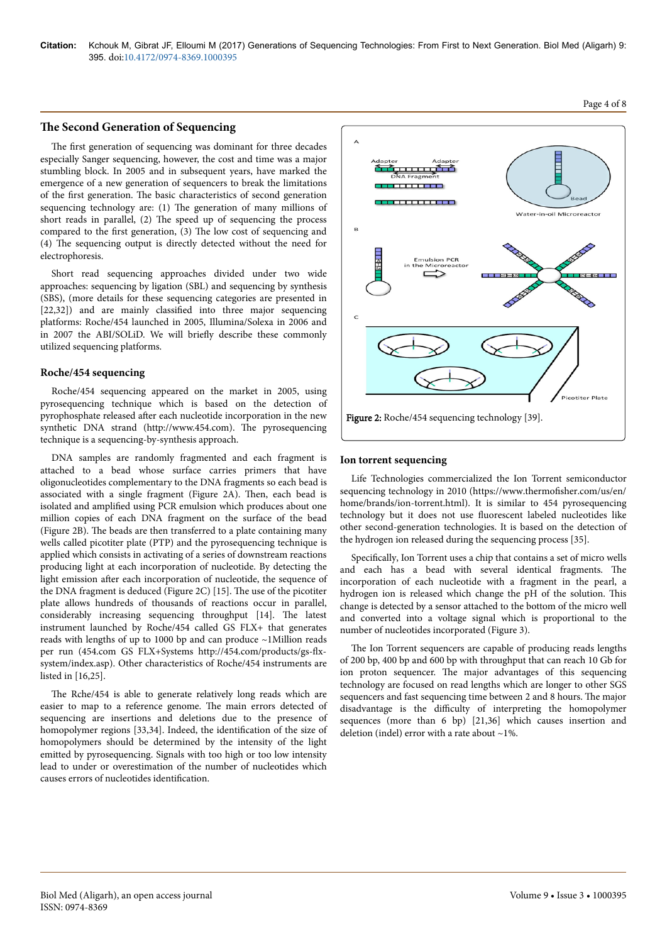# **Нe Second Generation of Sequencing**

The first generation of sequencing was dominant for three decades especially Sanger sequencing, however, the cost and time was a major stumbling block. In 2005 and in subsequent years, have marked the emergence of a new generation of sequencers to break the limitations of the first generation. Нe basic characteristics of second generation sequencing technology are: (1) Нe generation of many millions of short reads in parallel, (2) Нe speed up of sequencing the process compared to the first generation, (3) Нe low cost of sequencing and (4) Нe sequencing output is directly detected without the need for electrophoresis.

Short read sequencing approaches divided under two wide approaches: sequencing by ligation (SBL) and sequencing by synthesis (SBS), (more details for these sequencing categories are presented in [22,32]) and are mainly classified into three major sequencing platforms: Roche/454 launched in 2005, Illumina/Solexa in 2006 and in 2007 the ABI/SOLiD. We will briefly describe these commonly utilized sequencing platforms.

# **Roche/454 sequencing**

Roche/454 sequencing appeared on the market in 2005, using pyrosequencing technique which is based on the detection of pyrophosphate released after each nucleotide incorporation in the new synthetic DNA strand (http://www.454.com). Нe pyrosequencing technique is a sequencing-by-synthesis approach.

DNA samples are randomly fragmented and each fragment is attached to a bead whose surface carries primers that have oligonucleotides complementary to the DNA fragments so each bead is associated with a single fragment (Figure 2A). Нen, each bead is isolated and amplified using PCR emulsion which produces about one million copies of each DNA fragment on the surface of the bead (Figure 2B). Нe beads are then transferred to a plate containing many wells called picotiter plate (PTP) and the pyrosequencing technique is applied which consists in activating of a series of downstream reactions producing light at each incorporation of nucleotide. By detecting the light emission after each incorporation of nucleotide, the sequence of the DNA fragment is deduced (Figure 2C) [15]. Нe use of the picotiter plate allows hundreds of thousands of reactions occur in parallel, considerably increasing sequencing throughput [14]. Нe latest instrument launched by Roche/454 called GS FLX+ that generates reads with lengths of up to 1000 bp and can produce ~1Million reads per run (454.com GS FLX+Systems http//454.com/products/gs-flxsystem/index.asp). Other characteristics of Roche/454 instruments are listed in [16,25].

The Rche/454 is able to generate relatively long reads which are easier to map to a reference genome. Нe main errors detected of sequencing are insertions and deletions due to the presence of homopolymer regions [33,34]. Indeed, the identification of the size of homopolymers should be determined by the intensity of the light emitted by pyrosequencing. Signals with too high or too low intensity lead to under or overestimation of the number of nucleotides which causes errors of nucleotides identification.



#### **Ion torrent sequencing**

Life Technologies commercialized the Ion Torrent semiconductor sequencing technology in 2010 (https//www.thermofisher.com/us/en/ home/brands/ion-torrent.html). It is similar to 454 pyrosequencing technology but it does not use fluorescent labeled nucleotides like other second-generation technologies. It is based on the detection of the hydrogen ion released during the sequencing process [35].

6pecifically, Ion Torrent uses a chip that contains a set of micro wells and each has a bead with several identical fragments. Нe incorporation of each nucleotide with a fragment in the pearl, a hydrogen ion is released which change the pH of the solution. Нis change is detected by a sensor attached to the bottom of the micro well and converted into a voltage signal which is proportional to the number of nucleotides incorporated (Figure 3).

The Ion Torrent sequencers are capable of producing reads lengths of 200 bp, 400 bp and 600 bp with throughput that can reach 10 Gb for ion proton sequencer. Нe major advantages of this sequencing technology are focused on read lengths which are longer to other SGS sequencers and fast sequencing time between 2 and 8 hours. Нe major disadvantage is the difficulty of interpreting the homopolymer sequences (more than 6 bp) [21,36] which causes insertion and deletion (indel) error with a rate about  $\sim$ 1%.

Page 4 of 8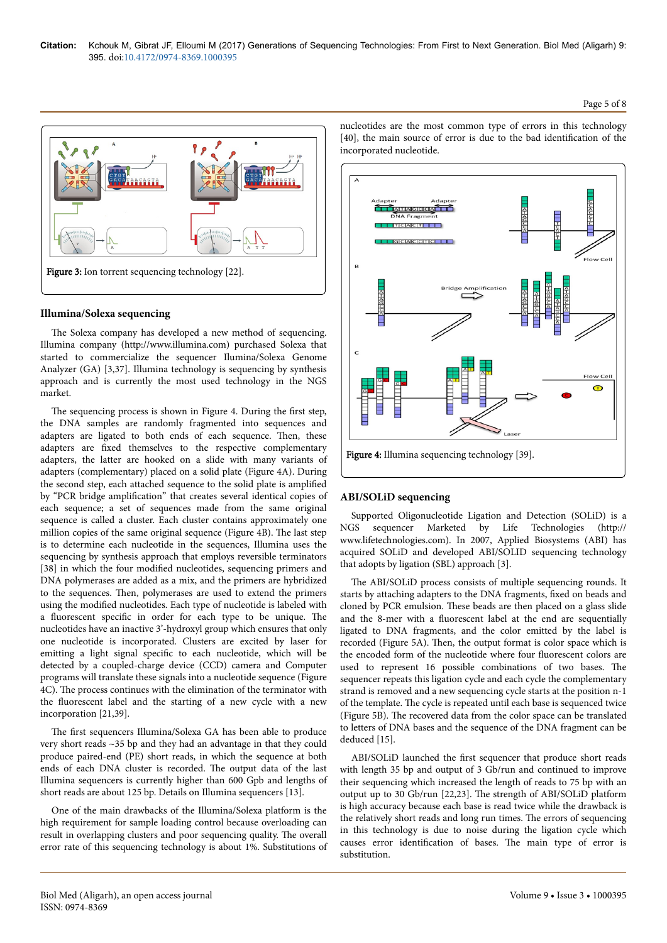



# **Illumina/Solexa sequencing**

The Solexa company has developed a new method of sequencing. Illumina company (http://www.illumina.com) purchased Solexa that started to commercialize the sequencer Ilumina/Solexa Genome Analyzer (GA) [3,37]. Illumina technology is sequencing by synthesis approach and is currently the most used technology in the NGS market.

The sequencing process is shown in Figure 4. During the first step, the DNA samples are randomly fragmented into sequences and adapters are ligated to both ends of each sequence. Нen, these adapters are fixed themselves to the respective complementary adapters, the latter are hooked on a slide with many variants of adapters (complementary) placed on a solid plate (Figure 4A). During the second step, each attached sequence to the solid plate is amplified by "PCR bridge amplification" that creates several identical copies of each sequence; a set of sequences made from the same original sequence is called a cluster. Each cluster contains approximately one million copies of the same original sequence (Figure 4B). Нe last step is to determine each nucleotide in the sequences, Illumina uses the sequencing by synthesis approach that employs reversible terminators [38] in which the four modified nucleotides, sequencing primers and DNA polymerases are added as a mix, and the primers are hybridized to the sequences. Нen, polymerases are used to extend the primers using the modified nucleotides. Each type of nucleotide is labeled with a fluorescent specific in order for each type to be unique. Нe nucleotides have an inactive 3'-hydroxyl group which ensures that only one nucleotide is incorporated. Clusters are excited by laser for emitting a light signal specific to each nucleotide, which will be detected by a coupled-charge device (CCD) camera and Computer programs will translate these signals into a nucleotide sequence (Figure 4C). Нe process continues with the elimination of the terminator with the fluorescent label and the starting of a new cycle with a new incorporation [21,39].

The first sequencers Illumina/Solexa GA has been able to produce very short reads ~35 bp and they had an advantage in that they could produce paired-end (PE) short reads, in which the sequence at both ends of each DNA cluster is recorded. Нe output data of the last Illumina sequencers is currently higher than 600 Gpb and lengths of short reads are about 125 bp. Details on Illumina sequencers [13].

One of the main drawbacks of the Illumina/Solexa platform is the high requirement for sample loading control because overloading can result in overlapping clusters and poor sequencing quality. Нe overall error rate of this sequencing technology is about 1%. Substitutions of

**ATTAIGICICIAL**  $GCHCCTC$ .<br>Flow Cel **Bridge Amplification** Figure 4: Illumina sequencing technology [39].

nucleotides are the most common type of errors in this technology [40], the main source of error is due to the bad identification of the incorporated nucleotide.

# **ABI/SOLiD sequencing**

Supported Oligonucleotide Ligation and Detection (SOLiD) is a sequencer Marketed by Life Technologies (http:// www.lifetechnologies.com). In 2007, Applied Biosystems (ABI) has acquired SOLiD and developed ABI/SOLID sequencing technology that adopts by ligation (SBL) approach [3].

The ABI/SOLiD process consists of multiple sequencing rounds. It starts by attaching adapters to the DNA fragments, fixed on beads and cloned by PCR emulsion. Нese beads are then placed on a glass slide and the 8-mer with a fluorescent label at the end are sequentially ligated to DNA fragments, and the color emitted by the label is recorded (Figure 5A). Нen, the output format is color space which is the encoded form of the nucleotide where four fluorescent colors are used to represent 16 possible combinations of two bases. Нe sequencer repeats this ligation cycle and each cycle the complementary strand is removed and a new sequencing cycle starts at the position n-1 of the template. Нe cycle is repeated until each base is sequenced twice (Figure 5B). Нe recovered data from the color space can be translated to letters of DNA bases and the sequence of the DNA fragment can be deduced [15].

ABI/SOLiD launched the first sequencer that produce short reads with length 35 bp and output of 3 Gb/run and continued to improve their sequencing which increased the length of reads to 75 bp with an output up to 30 Gb/run [22,23]. Нe strength of ABI/SOLiD platform is high accuracy because each base is read twice while the drawback is the relatively short reads and long run times. Нe errors of sequencing in this technology is due to noise during the ligation cycle which causes error identification of bases. Нe main type of error is substitution.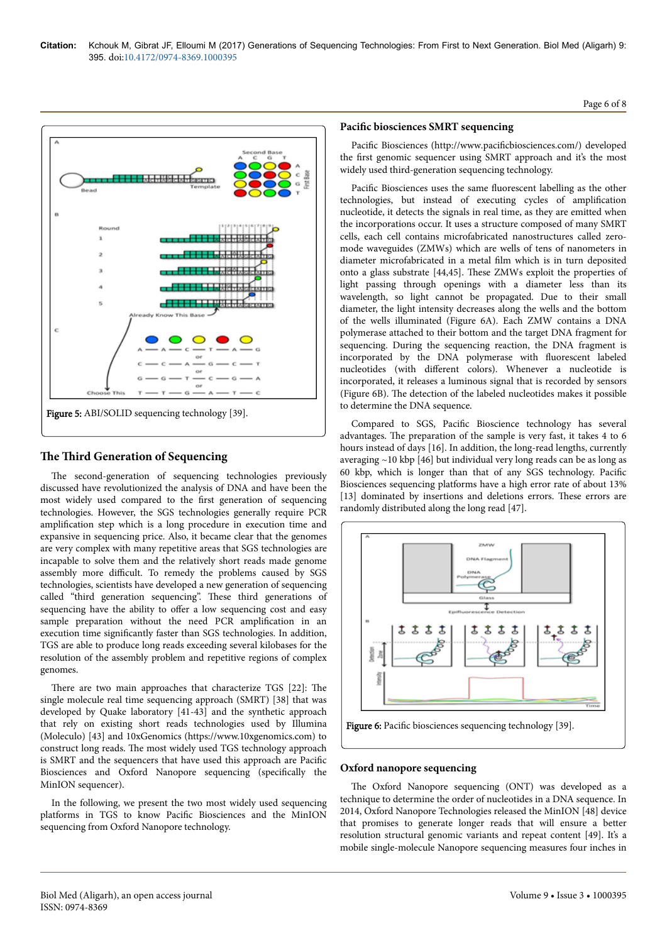

# **The Third Generation of Sequencing**

The second-generation of sequencing technologies previously discussed have revolutionized the analysis of DNA and have been the most widely used compared to the first generation of sequencing technologies. However, the SGS technologies generally require PCR amplification step which is a long procedure in execution time and expansive in sequencing price. Also, it became clear that the genomes are very complex with many repetitive areas that SGS technologies are incapable to solve them and the relatively short reads made genome assembly more difficult. To remedy the problems caused by SGS technologies, scientists have developed a new generation of sequencing called "third generation sequencing". Нese third generations of sequencing have the ability to offer a low sequencing cost and easy sample preparation without the need PCR amplification in an execution time significantly faster than SGS technologies. In addition, TGS are able to produce long reads exceeding several kilobases for the resolution of the assembly problem and repetitive regions of complex genomes.

There are two main approaches that characterize TGS [22]: The single molecule real time sequencing approach (SMRT) [38] that was developed by Quake laboratory [41-43] and the synthetic approach that rely on existing short reads technologies used by Illumina (Moleculo) [43] and 10xGenomics (https://www.10xgenomics.com) to construct long reads. Нe most widely used TGS technology approach is SMRT and the sequencers that have used this approach are Pacific Biosciences and Oxford Nanopore sequencing (specifically the MinION sequencer).

In the following, we present the two most widely used sequencing platforms in TGS to know Pacific Biosciences and the MinION sequencing from Oxford Nanopore technology.

# **3DcLfic biosciences SMRT sequencing**

Pacific Biosciences (http//www.pacificbiosciences.com/) developed the first genomic sequencer using SMRT approach and it's the most widely used third-generation sequencing technology.

Pacific Biosciences uses the same fluorescent labelling as the other technologies, but instead of executing cycles of amplification nucleotide, it detects the signals in real time, as they are emitted when the incorporations occur. It uses a structure composed of many SMRT cells, each cell contains microfabricated nanostructures called zeromode waveguides (ZMWs) which are wells of tens of nanometers in diameter microfabricated in a metal film which is in turn deposited onto a glass substrate [44,45]. Нese ZMWs exploit the properties of light passing through openings with a diameter less than its wavelength, so light cannot be propagated. Due to their small diameter, the light intensity decreases along the wells and the bottom of the wells illuminated (Figure 6A). Each ZMW contains a DNA polymerase attached to their bottom and the target DNA fragment for sequencing. During the sequencing reaction, the DNA fragment is incorporated by the DNA polymerase with fluorescent labeled nucleotides (with different colors). Whenever a nucleotide is incorporated, it releases a luminous signal that is recorded by sensors (Figure 6B). Нe detection of the labeled nucleotides makes it possible to determine the DNA sequence.

Compared to SGS, Pacific Bioscience technology has several advantages. Нe preparation of the sample is very fast, it takes 4 to 6 hours instead of days [16]. In addition, the long-read lengths, currently averaging ~10 kbp [46] but individual very long reads can be as long as 60 kbp, which is longer than that of any SGS technology. Pacific Biosciences sequencing platforms have a high error rate of about 13% [13] dominated by insertions and deletions errors. These errors are randomly distributed along the long read [47].



Figure 6: Pacific biosciences sequencing technology [39].

# **Oxford nanopore sequencing**

The Oxford Nanopore sequencing (ONT) was developed as a technique to determine the order of nucleotides in a DNA sequence. In 2014, Oxford Nanopore Technologies released the MinION [48] device that promises to generate longer reads that will ensure a better resolution structural genomic variants and repeat content [49]. It's a mobile single-molecule Nanopore sequencing measures four inches in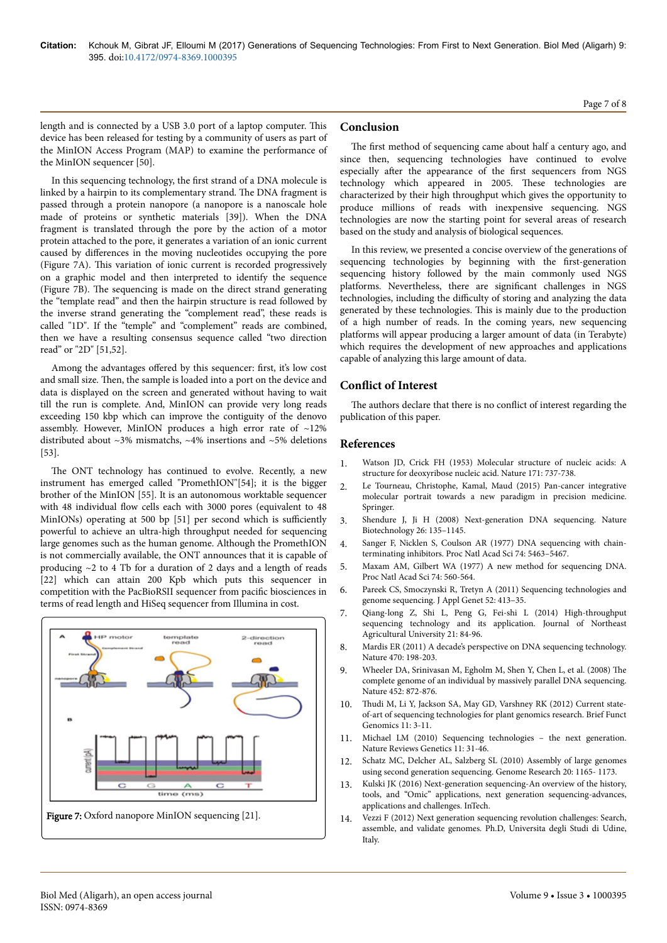length and is connected by a USB 3.0 port of a laptop computer. Нis device has been released for testing by a community of users as part of the MinION Access Program (MAP) to examine the performance of the MinION sequencer [50].

In this sequencing technology, the first strand of a DNA molecule is linked by a hairpin to its complementary strand. Нe DNA fragment is passed through a protein nanopore (a nanopore is a nanoscale hole made of proteins or synthetic materials [39]). When the DNA fragment is translated through the pore by the action of a motor protein attached to the pore, it generates a variation of an ionic current caused by differences in the moving nucleotides occupying the pore (Figure 7A). Нis variation of ionic current is recorded progressively on a graphic model and then interpreted to identify the sequence (Figure 7B). Нe sequencing is made on the direct strand generating the "template read" and then the hairpin structure is read followed by the inverse strand generating the "complement read", these reads is called "1D". If the "temple" and "complement" reads are combined, then we have a resulting consensus sequence called "two direction read" or "2D" [51,52].

Among the advantages offered by this sequencer: first, it's low cost and small size. Нen, the sample is loaded into a port on the device and data is displayed on the screen and generated without having to wait till the run is complete. And, MinION can provide very long reads exceeding 150 kbp which can improve the contiguity of the denovo assembly. However, MinION produces a high error rate of ~12% distributed about ~3% mismatchs, ~4% insertions and ~5% deletions [53].

The ONT technology has continued to evolve. Recently, a new instrument has emerged called "PromethION"[54]; it is the bigger brother of the MinION [55]. It is an autonomous worktable sequencer with 48 individual flow cells each with 3000 pores (equivalent to 48 MinIONs) operating at 500 bp [51] per second which is sufficiently powerful to achieve an ultra-high throughput needed for sequencing large genomes such as the human genome. Although the PromethION is not commercially available, the ONT announces that it is capable of producing ~2 to 4 Tb for a duration of 2 days and a length of reads [22] which can attain 200 Kpb which puts this sequencer in competition with the PacBioRSII sequencer from pacific biosciences in terms of read length and HiSeq sequencer from Illumina in cost.



# **Conclusion**

The first method of sequencing came about half a century ago, and since then, sequencing technologies have continued to evolve especially after the appearance of the first sequencers from NGS technology which appeared in 2005. Нese technologies are characterized by their high throughput which gives the opportunity to produce millions of reads with inexpensive sequencing. NGS technologies are now the starting point for several areas of research based on the study and analysis of biological sequences.

In this review, we presented a concise overview of the generations of sequencing technologies by beginning with the first-generation sequencing history followed by the main commonly used NGS platforms. Nevertheless, there are significant challenges in NGS technologies, including the difficulty of storing and analyzing the data generated by these technologies. Нis is mainly due to the production of a high number of reads. In the coming years, new sequencing platforms will appear producing a larger amount of data (in Terabyte) which requires the development of new approaches and applications capable of analyzing this large amount of data.

# **Conflict of Interest**

The authors declare that there is no conflict of interest regarding the publication of this paper.

## **References**

- 1. Watson JD, Crick FH (1953) Molecular structure of nucleic acids: A structure for deoxyribose nucleic acid. Nature 171: 737-738.
- 2. [Le Tourneau, Christophe, Kamal, Maud \(2015\) Pan-cancer integrative](https://dx.doi.org/10.1007/978-3-319-22189-2_5) [molecular portrait towards a new paradigm in precision medicine.](https://dx.doi.org/10.1007/978-3-319-22189-2_5) [Springer.](https://dx.doi.org/10.1007/978-3-319-22189-2_5)
- 3. [Shendure J, Ji H \(2008\) Next-generation DNA sequencing. Nature](https://dx.doi.org/10.1038/nbt1486) [Biotechnology 26: 135–1145.](https://dx.doi.org/10.1038/nbt1486)
- 4. [Sanger F, Nicklen S, Coulson AR \(1977\) DNA sequencing with chain](https://dx.doi.org/10.1073/pnas.74.12.5463)[terminating inhibitors. Proc Natl Acad Sci 74: 5463–5467.](https://dx.doi.org/10.1073/pnas.74.12.5463)
- 5. [Maxam AM, Gilbert WA \(1977\) A new method for sequencing DNA.](https://dx.doi.org/10.1073/pnas.74.2.560) [Proc Natl Acad Sci 74: 560-564.](https://dx.doi.org/10.1073/pnas.74.2.560)
- 6. [Pareek CS, Smoczynski R, Tretyn A \(2011\) Sequencing technologies and](https://dx.doi.org/10.1007/s13353-011-0057-x) [genome sequencing. J Appl Genet 52: 413–35.](https://dx.doi.org/10.1007/s13353-011-0057-x)
- 7. [Qiang-long Z, Shi L, Peng G, Fei-shi L \(2014\) High-throughput](https://dx.doi.org/10.1016/S1006-8104(14)60073-8) [sequencing technology and its application. Journal of Northeast](https://dx.doi.org/10.1016/S1006-8104(14)60073-8) [Agricultural University 21: 84-96.](https://dx.doi.org/10.1016/S1006-8104(14)60073-8)
- 8. [Mardis ER \(2011\) A decade's perspective on DNA sequencing technology.](https://dx.doi.org/10.1038/nature09796) [Nature 470: 198-203](https://dx.doi.org/10.1038/nature09796).
- 9. [Wheeler DA, Srinivasan M, Egholm M, Shen Y, Chen L, et al. \(2008\)](https://dx.doi.org/10.1038/%20nature06884) Нe [complete genome of an individual by massively parallel DNA sequencing.](https://dx.doi.org/10.1038/%20nature06884) [Nature 452: 872-876.](https://dx.doi.org/10.1038/%20nature06884)
- 10. Нudi [M, Li Y, Jackson SA, May GD, Varshney RK \(2012\) Current state](https://dx.doi.org/10.1093/bfgp/elr045.)[of-art of sequencing technologies for plant genomics research. Brief Funct](https://dx.doi.org/10.1093/bfgp/elr045.) [Genomics 11: 3-11.](https://dx.doi.org/10.1093/bfgp/elr045.)
- 11. [Michael LM \(2010\) Sequencing technologies the next generation.](https://dx.doi.org/10.1038/nrg2626) [Nature Reviews Genetics 11: 31-46.](https://dx.doi.org/10.1038/nrg2626)
- 12. [Schatz MC, Delcher AL, Salzberg SL \(2010\) Assembly of large genomes](https://dx.doi.org/10.1101/gr.101360.109.) [using second generation sequencing. Genome Research 20: 1165- 1173](https://dx.doi.org/10.1101/gr.101360.109.).
- 13. [Kulski JK \(2016\) Next-generation sequencing-An overview of the history,](https://dx.doi.org/10.5772/61964) [tools, and "Omic" applications, next generation sequencing-advances,](https://dx.doi.org/10.5772/61964) [applications and challenges. InTech.](https://dx.doi.org/10.5772/61964)
- 14. Vezzi F (2012) Next generation sequencing revolution challenges: Search, assemble, and validate genomes. Ph.D, Universita degli Studi di Udine, Italy.